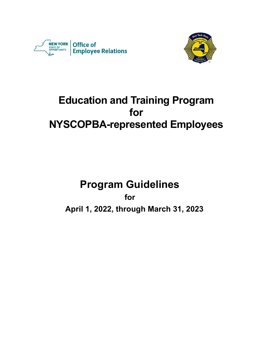



# **Education and Training Program for NYSCOPBA-represented Employees**

# **Program Guidelines**

**for**

**April 1, 2022, through March 31, 2023**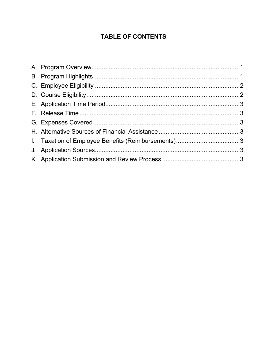# **TABLE OF CONTENTS**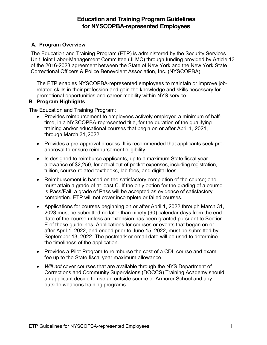# **Education and Training Program Guidelines for NYSCOPBA-represented Employees**

# <span id="page-2-0"></span>**A. Program Overview**

The Education and Training Program (ETP) is administered by the Security Services Unit Joint Labor-Management Committee (JLMC) through funding provided by Article 13 of the 2016-2023 agreement between the State of New York and the New York State Correctional Officers & Police Benevolent Association, Inc. (NYSCOPBA).

The ETP enables NYSCOPBA-represented employees to maintain or improve jobrelated skills in their profession and gain the knowledge and skills necessary for promotional opportunities and career mobility within NYS service.

#### <span id="page-2-1"></span>**B. Program Highlights**

The Education and Training Program:

- Provides reimbursement to employees actively employed a minimum of halftime, in a NYSCOPBA-represented title, for the duration of the qualifying training and/or educational courses that begin on or after April 1, 2021, through March 31,2022.
- Provides a pre-approval process. It is recommended that applicants seek preapproval to ensure reimbursement eligibility.
- Is designed to reimburse applicants, up to a maximum State fiscal year allowance of \$2,250, for actual out-of-pocket expenses, including registration, tuition, course-related textbooks, lab fees, and digital fees.
- Reimbursement is based on the satisfactory completion of the course; one must attain a grade of at least C. If the only option for the grading of a course is Pass/Fail, a grade of Pass will be accepted as evidence of satisfactory completion. ETP will not cover incomplete or failed courses.
- Applications for courses beginning on or after April 1, 2022 through March 31, 2023 must be submitted no later than ninety (90) calendar days from the end date of the course unless an extension has been granted pursuant to Section E of these guidelines. Applications for courses or events that began on or after April 1, 2022, and ended prior to June 15, 2022, must be submitted by September 13, 2022. The postmark or email date will be used to determine the timeliness of the application.
- Provides a Pilot Program to reimburse the cost of a CDL course and exam fee up to the State fiscal year maximum allowance.
- *Will not* cover courses that are available through the NYS Department of Corrections and Community Supervisions (DOCCS) Training Academy should an applicant decide to use an outside source or Armorer School and any outside weapons training programs.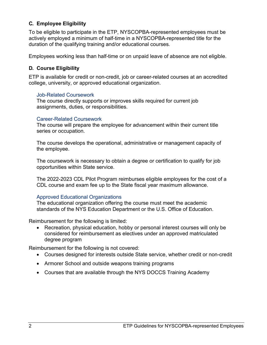# <span id="page-3-0"></span>**C. Employee Eligibility**

To be eligible to participate in the ETP, NYSCOPBA-represented employees must be actively employed a minimum of half-time in a NYSCOPBA-represented title for the duration of the qualifying training and/or educational courses.

Employees working less than half-time or on unpaid leave of absence are not eligible.

### <span id="page-3-1"></span>**D. Course Eligibility**

ETP is available for credit or non-credit, job or career-related courses at an accredited college, university, or approved educational organization.

#### Job-Related Coursework

The course directly supports or improves skills required for current job assignments, duties, or responsibilities.

#### Career-Related Coursework

The course will prepare the employee for advancement within their current title series or occupation.

The course develops the operational, administrative or management capacity of the employee.

The coursework is necessary to obtain a degree or certification to qualify for job opportunities within State service.

The 2022-2023 CDL Pilot Program reimburses eligible employees for the cost of a CDL course and exam fee up to the State fiscal year maximum allowance.

#### Approved Educational Organizations

The educational organization offering the course must meet the academic standards of the NYS Education Department or the U.S. Office of Education.

Reimbursement for the following is limited:

• Recreation, physical education, hobby or personal interest courses will only be considered for reimbursement as electives under an approved matriculated degree program

Reimbursement for the following is not covered:

- Courses designed for interests outside State service, whether credit or non-credit
- Armorer School and outside weapons training programs
- Courses that are available through the NYS DOCCS Training Academy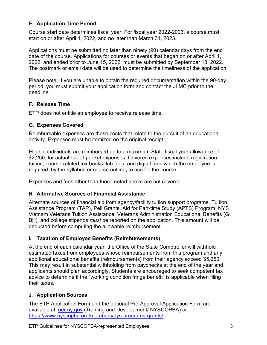# <span id="page-4-0"></span>**E. Application Time Period**

Course start date determines fiscal year. For fiscal year 2022-2023, a course must start on or after April 1, 2022, and no later than March 31, 2023.

Applications must be submitted no later than ninety (90) calendar days from the end date of the course. Applications for courses or events that began on or after April 1, 2022, and ended prior to June 15, 2022, must be submitted by September 13, 2022. The postmark or email date will be used to determine the timeliness of the application.

Please note: If you are unable to obtain the required documentation within the 90-day period, you must submit your application form and contact the JLMC prior to the deadline.

### <span id="page-4-1"></span>**F. Release Time**

ETP does not entitle an employee to receive release time.

### <span id="page-4-2"></span>**G. Expenses Covered**

Reimbursable expenses are those costs that relate to the pursuit of an educational activity. Expenses must be itemized on the original receipt.

Eligible individuals are reimbursed up to a maximum State fiscal year allowance of \$2,250, for actual out-of-pocket expenses. Covered expenses include registration, tuition, course-related textbooks, lab fees, and digital fees which the employee is required, by the syllabus or course outline, to use for the course.

Expenses and fees other than those noted above are not covered.

### <span id="page-4-3"></span>**H. Alternative Sources of Financial Assistance**

Alternate sources of financial aid from agency/facility tuition support programs, Tuition Assistance Program (TAP), Pell Grants, Aid for Part-time Study (APTS) Program, NYS Vietnam Veterans Tuition Assistance, Veterans Administration Educational Benefits (GI Bill), and college stipends *must* be reported on the application. This amount will be deducted before computing the allowable reimbursement.

### <span id="page-4-4"></span>**I. Taxation of Employee Benefits (Reimbursements)**

At the end of each calendar year, the Office of the State Comptroller will withhold estimated taxes from employees whose reimbursements from this program and any additional educational benefits (reimbursements) from their agency exceed \$5,250. This may result in substantial withholding from paychecks at the end of the year and applicants should plan accordingly. Students are encouraged to seek competent tax advice to determine if the "working condition fringe benefit" is applicable when filing their taxes.

### <span id="page-4-6"></span><span id="page-4-5"></span>**J. Application Sources**

The ETP Application Form and the optional Pre-Approval Application Form are available at: *oer.ny.gov* (Training and Development/ NYSCOPBA) or [https://www.nyscopba.org/members/nys-programs-grants/.](https://www.nyscopba.org/members/nys-programs-grants/)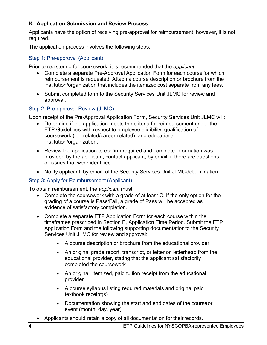# **K. Application Submission and Review Process**

Applicants have the option of receiving pre-approval for reimbursement, however, it is not required.

The application process involves the following steps:

#### Step 1: Pre-approval (Applicant)

Prior to registering for coursework, it is recommended that the *applicant*:

- Complete a separate Pre-Approval Application Form for each course for which reimbursement is requested. Attach a course description or brochure from the institution/organization that includes the itemized cost separate from any fees.
- Submit completed form to the Security Services Unit JLMC for review and approval.

#### Step 2: Pre-approval Review (JLMC)

Upon receipt of the Pre-Approval Application Form, Security Services Unit JLMC will:

- Determine if the application meets the criteria for reimbursement under the ETP Guidelines with respect to employee eligibility, qualification of coursework (job-related/career-related), and educational institution/organization.
- Review the application to confirm required and complete information was provided by the applicant; contact applicant, by email, if there are questions or issues that were identified.
- Notify applicant, by email, of the Security Services Unit JLMC determination.

### Step 3: Apply for Reimbursement (Applicant)

To obtain reimbursement, the *applicant* must:

- Complete the coursework with a grade of at least C. If the only option for the grading of a course is Pass/Fail, a grade of Pass will be accepted as evidence of satisfactory completion.
- Complete a separate ETP Application Form for each course within the timeframes prescribed in Section E, Application Time Period. Submit the ETP Application Form and the following supporting documentationto the Security Services Unit JLMC for review and approval:
	- A course description or brochure from the educational provider
	- An original grade report, transcript, or letter on letterhead from the educational provider, stating that the applicant satisfactorily completed the coursework
	- An original, itemized, paid tuition receipt from the educational provider
	- A course syllabus listing required materials and original paid textbook receipt(s)
	- Documentation showing the start and end dates of the courseor event (month, day, year)
- Applicants should retain a copy of all documentation for their records.